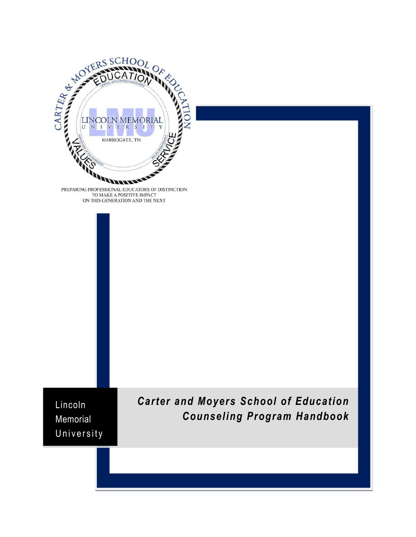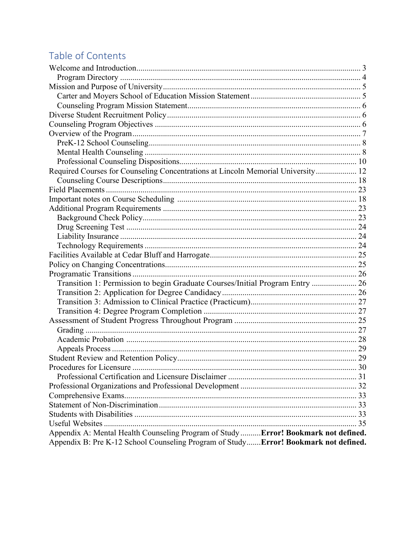# Table of Contents

| Required Courses for Counseling Concentrations at Lincoln Memorial University 12    |  |
|-------------------------------------------------------------------------------------|--|
|                                                                                     |  |
|                                                                                     |  |
|                                                                                     |  |
|                                                                                     |  |
|                                                                                     |  |
|                                                                                     |  |
|                                                                                     |  |
|                                                                                     |  |
|                                                                                     |  |
|                                                                                     |  |
|                                                                                     |  |
| Transition 1: Permission to begin Graduate Courses/Initial Program Entry  26        |  |
|                                                                                     |  |
|                                                                                     |  |
|                                                                                     |  |
|                                                                                     |  |
|                                                                                     |  |
|                                                                                     |  |
|                                                                                     |  |
|                                                                                     |  |
|                                                                                     |  |
|                                                                                     |  |
|                                                                                     |  |
|                                                                                     |  |
|                                                                                     |  |
|                                                                                     |  |
|                                                                                     |  |
| Appendix A: Mental Health Counseling Program of Study  Error! Bookmark not defined. |  |
| Appendix B: Pre K-12 School Counseling Program of StudyError! Bookmark not defined. |  |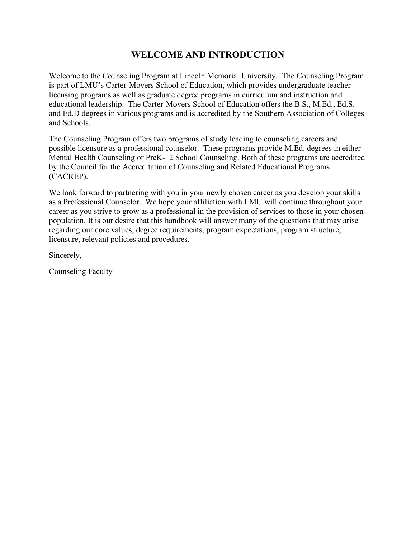# **WELCOME AND INTRODUCTION**

<span id="page-2-0"></span>Welcome to the Counseling Program at Lincoln Memorial University. The Counseling Program is part of LMU's Carter-Moyers School of Education, which provides undergraduate teacher licensing programs as well as graduate degree programs in curriculum and instruction and educational leadership. The Carter-Moyers School of Education offers the B.S., M.Ed., Ed.S. and Ed.D degrees in various programs and is accredited by the Southern Association of Colleges and Schools.

The Counseling Program offers two programs of study leading to counseling careers and possible licensure as a professional counselor. These programs provide M.Ed. degrees in either Mental Health Counseling or PreK-12 School Counseling. Both of these programs are accredited by the Council for the Accreditation of Counseling and Related Educational Programs (CACREP).

We look forward to partnering with you in your newly chosen career as you develop your skills as a Professional Counselor. We hope your affiliation with LMU will continue throughout your career as you strive to grow as a professional in the provision of services to those in your chosen population. It is our desire that this handbook will answer many of the questions that may arise regarding our core values, degree requirements, program expectations, program structure, licensure, relevant policies and procedures.

Sincerely,

Counseling Faculty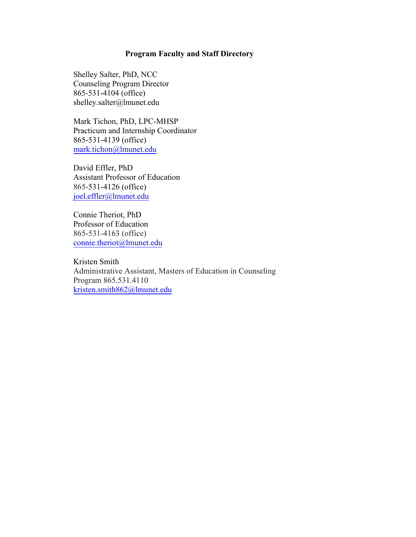#### **Program Faculty and Staff Directory**

<span id="page-3-0"></span>Shelley Salter, PhD, NCC Counseling Program Director 865-531-4104 (office) [shelley.salter@lmunet.edu](mailto:mark.tichon@lmunet.edu)

Mark Tichon, PhD, LPC-MHSP Practicum and Internship Coordinator 865-531-4139 (office) [mark.tichon@lmunet.ed](mailto:joel.effler@lmunet.edu)u

David Effler, PhD Assistant Professor of Education 865-531-4126 (office) [joel.effler@lmunet.edu](mailto:connie.theriot@lmunet.edu)

Connie Theriot, PhD Professor of Education 865-531-4163 (office) [connie.theriot@lmunet.edu](mailto:shelley.salter@lmunet.edu)

Kristen Smith Administrative Assistant, Masters of Education in Counseling Program 865.531.4110 [kristen.smith862@lmunet.edu](mailto:kristen.smith862@lmunet.edu)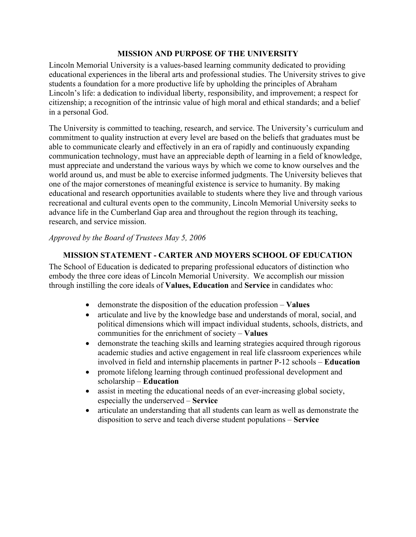#### **MISSION AND PURPOSE OF THE UNIVERSITY**

<span id="page-4-0"></span>Lincoln Memorial University is a values-based learning community dedicated to providing educational experiences in the liberal arts and professional studies. The University strives to give students a foundation for a more productive life by upholding the principles of Abraham Lincoln's life: a dedication to individual liberty, responsibility, and improvement; a respect for citizenship; a recognition of the intrinsic value of high moral and ethical standards; and a belief in a personal God.

The University is committed to teaching, research, and service. The University's curriculum and commitment to quality instruction at every level are based on the beliefs that graduates must be able to communicate clearly and effectively in an era of rapidly and continuously expanding communication technology, must have an appreciable depth of learning in a field of knowledge, must appreciate and understand the various ways by which we come to know ourselves and the world around us, and must be able to exercise informed judgments. The University believes that one of the major cornerstones of meaningful existence is service to humanity. By making educational and research opportunities available to students where they live and through various recreational and cultural events open to the community, Lincoln Memorial University seeks to advance life in the Cumberland Gap area and throughout the region through its teaching, research, and service mission.

#### *Approved by the Board of Trustees May 5, 2006*

#### **MISSION STATEMENT - CARTER AND MOYERS SCHOOL OF EDUCATION**

<span id="page-4-1"></span>The School of Education is dedicated to preparing professional educators of distinction who embody the three core ideas of Lincoln Memorial University. We accomplish our mission through instilling the core ideals of **Values, Education** and **Service** in candidates who:

- demonstrate the disposition of the education profession **Values**
- articulate and live by the knowledge base and understands of moral, social, and political dimensions which will impact individual students, schools, districts, and communities for the enrichment of society – **Values**
- demonstrate the teaching skills and learning strategies acquired through rigorous academic studies and active engagement in real life classroom experiences while involved in field and internship placements in partner P-12 schools – **Education**
- promote lifelong learning through continued professional development and scholarship – **Education**
- assist in meeting the educational needs of an ever-increasing global society, especially the underserved – **Service**
- articulate an understanding that all students can learn as well as demonstrate the disposition to serve and teach diverse student populations – **Service**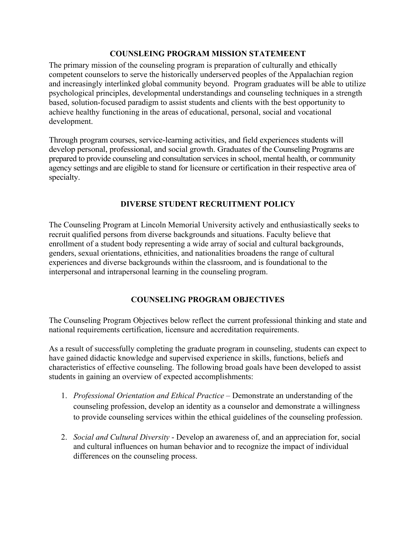#### **COUNSLEING PROGRAM MISSION STATEMEENT**

<span id="page-5-0"></span>The primary mission of the counseling program is preparation of culturally and ethically competent counselors to serve the historically underserved peoples of the Appalachian region and increasingly interlinked global community beyond. Program graduates will be able to utilize psychological principles, developmental understandings and counseling techniques in a strength based, solution-focused paradigm to assist students and clients with the best opportunity to achieve healthy functioning in the areas of educational, personal, social and vocational development.

Through program courses, service-learning activities, and field experiences students will develop personal, professional, and social growth. Graduates of the Counseling Programs are prepared to provide counseling and consultation services in school, mental health, or community agency settings and are eligible to stand for licensure or certification in their respective area of specialty.

#### **DIVERSE STUDENT RECRUITMENT POLICY**

<span id="page-5-1"></span>The Counseling Program at Lincoln Memorial University actively and enthusiastically seeks to recruit qualified persons from diverse backgrounds and situations. Faculty believe that enrollment of a student body representing a wide array of social and cultural backgrounds, genders, sexual orientations, ethnicities, and nationalities broadens the range of cultural experiences and diverse backgrounds within the classroom, and is foundational to the interpersonal and intrapersonal learning in the counseling program.

#### **COUNSELING PROGRAM OBJECTIVES**

<span id="page-5-2"></span>The Counseling Program Objectives below reflect the current professional thinking and state and national requirements certification, licensure and accreditation requirements.

As a result of successfully completing the graduate program in counseling, students can expect to have gained didactic knowledge and supervised experience in skills, functions, beliefs and characteristics of effective counseling. The following broad goals have been developed to assist students in gaining an overview of expected accomplishments:

- 1. *Professional Orientation and Ethical Practice* Demonstrate an understanding of the counseling profession, develop an identity as a counselor and demonstrate a willingness to provide counseling services within the ethical guidelines of the counseling profession.
- 2. *Social and Cultural Diversity* Develop an awareness of, and an appreciation for, social and cultural influences on human behavior and to recognize the impact of individual differences on the counseling process.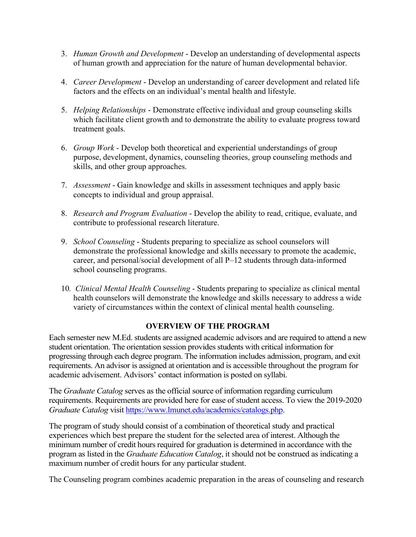- 3. *Human Growth and Development* Develop an understanding of developmental aspects of human growth and appreciation for the nature of human developmental behavior.
- 4. *Career Development* Develop an understanding of career development and related life factors and the effects on an individual's mental health and lifestyle.
- 5. *Helping Relationships* Demonstrate effective individual and group counseling skills which facilitate client growth and to demonstrate the ability to evaluate progress toward treatment goals.
- 6. *Group Work* Develop both theoretical and experiential understandings of group purpose, development, dynamics, counseling theories, group counseling methods and skills, and other group approaches.
- 7. *Assessment* Gain knowledge and skills in assessment techniques and apply basic concepts to individual and group appraisal.
- 8. *Research and Program Evaluation* Develop the ability to read, critique, evaluate, and contribute to professional research literature.
- 9. *School Counseling* Students preparing to specialize as school counselors will demonstrate the professional knowledge and skills necessary to promote the academic, career, and personal/social development of all P–12 students through data-informed school counseling programs.
- 10*. Clinical Mental Health Counseling* Students preparing to specialize as clinical mental health counselors will demonstrate the knowledge and skills necessary to address a wide variety of circumstances within the context of clinical mental health counseling.

#### **OVERVIEW OF THE PROGRAM**

<span id="page-6-0"></span>Each semester new M.Ed. students are assigned academic advisors and are required to attend a new student orientation. The orientation session provides students with critical information for progressing through each degree program. The information includes admission, program, and exit requirements. An advisor is assigned at orientation and is accessible throughout the program for academic advisement. Advisors' contact information is posted on syllabi.

The *Graduate Catalog* serves as the official source of information regarding curriculum requirements. Requirements are provided here for ease of student access. To view the 2019-2020 *Graduate Catalog* visit [https://www.lmunet.edu/academics/catalogs.php.](https://www.lmunet.edu/academics/catalogs.php)

The program of study should consist of a combination of theoretical study and practical experiences which best prepare the student for the selected area of interest. Although the minimum number of credit hours required for graduation is determined in accordance with the program as listed in the *Graduate Education Catalog*, it should not be construed as indicating a maximum number of credit hours for any particular student.

The Counseling program combines academic preparation in the areas of counseling and research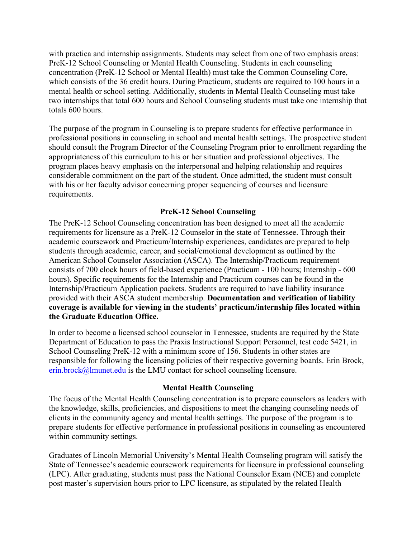with practica and internship assignments. Students may select from one of two emphasis areas: PreK-12 School Counseling or Mental Health Counseling. Students in each counseling concentration (PreK-12 School or Mental Health) must take the Common Counseling Core, which consists of the 36 credit hours. During Practicum, students are required to 100 hours in a mental health or school setting. Additionally, students in Mental Health Counseling must take two internships that total 600 hours and School Counseling students must take one internship that totals 600 hours.

The purpose of the program in Counseling is to prepare students for effective performance in professional positions in counseling in school and mental health settings. The prospective student should consult the Program Director of the Counseling Program prior to enrollment regarding the appropriateness of this curriculum to his or her situation and professional objectives. The program places heavy emphasis on the interpersonal and helping relationship and requires considerable commitment on the part of the student. Once admitted, the student must consult with his or her faculty advisor concerning proper sequencing of courses and licensure requirements.

## **PreK-12 School Counseling**

<span id="page-7-0"></span>The PreK-12 School Counseling concentration has been designed to meet all the academic requirements for licensure as a PreK-12 Counselor in the state of Tennessee. Through their academic coursework and Practicum/Internship experiences, candidates are prepared to help students through academic, career, and social/emotional development as outlined by the American School Counselor Association (ASCA). The Internship/Practicum requirement consists of 700 clock hours of field-based experience (Practicum - 100 hours; Internship - 600 hours). Specific requirements for the Internship and Practicum courses can be found in the Internship/Practicum Application packets. Students are required to have liability insurance provided with their ASCA student membership. **Documentation and verification of liability coverage is available for viewing in the students' practicum/internship files located within the Graduate Education Office.**

In order to become a licensed school counselor in Tennessee, students are required by the State Department of Education to pass the Praxis Instructional Support Personnel, test code 5421, in School Counseling PreK-12 with a minimum score of 156. Students in other states are responsible for following the licensing policies of their respective governing boards. Erin Brock, [erin.brock@lmunet.edu](mailto:erin.brock@lmunet.edu) is the LMU contact for school counseling licensure.

#### **Mental Health Counseling**

<span id="page-7-1"></span>The focus of the Mental Health Counseling concentration is to prepare counselors as leaders with the knowledge, skills, proficiencies, and dispositions to meet the changing counseling needs of clients in the community agency and mental health settings. The purpose of the program is to prepare students for effective performance in professional positions in counseling as encountered within community settings.

Graduates of Lincoln Memorial University's Mental Health Counseling program will satisfy the State of Tennessee's academic coursework requirements for licensure in professional counseling (LPC). After graduating, students must pass the National Counselor Exam (NCE) and complete post master's supervision hours prior to LPC licensure, as stipulated by the related Health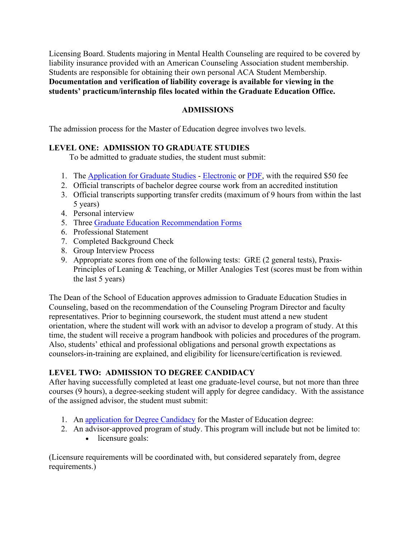Licensing Board. Students majoring in Mental Health Counseling are required to be covered by liability insurance provided with an American Counseling Association student membership. Students are responsible for obtaining their own personal ACA Student Membership. **Documentation and verification of liability coverage is available for viewing in the students' practicum/internship files located within the Graduate Education Office.**

#### **ADMISSIONS**

The admission process for the Master of Education degree involves two levels.

#### **LEVEL ONE: ADMISSION TO GRADUATE STUDIES**

To be admitted to graduate studies, the student must submit:

- 1. The [Application for Graduate Studies](https://applynow.lmunet.edu/) [Electronic](https://applynow.lmunet.edu/) or [PDF,](https://www.lmunet.edu/school-of-education/graduate/masters/counseling-guidance-med/Application_to_LMU_Counseling_Program.pdf) with the required \$50 fee
- 2. Official transcripts of bachelor degree course work from an accredited institution
- 3. Official transcripts supporting transfer credits (maximum of 9 hours from within the last 5 years)
- 4. Personal interview
- 5. Three [Graduate Education Recommendation Forms](http://form.jotformpro.com/form/42176670241956)
- 6. Professional Statement
- 7. Completed Background Check
- 8. Group Interview Process
- 9. Appropriate scores from one of the following tests: GRE (2 general tests), Praxis-Principles of Leaning & Teaching, or Miller Analogies Test (scores must be from within the last 5 years)

The Dean of the School of Education approves admission to Graduate Education Studies in Counseling, based on the recommendation of the Counseling Program Director and faculty representatives. Prior to beginning coursework, the student must attend a new student orientation, where the student will work with an advisor to develop a program of study. At this time, the student will receive a program handbook with policies and procedures of the program. Also, students' ethical and professional obligations and personal growth expectations as counselors-in-training are explained, and eligibility for licensure/certification is reviewed.

#### **LEVEL TWO: ADMISSION TO DEGREE CANDIDACY**

After having successfully completed at least one graduate-level course, but not more than three courses (9 hours), a degree-seeking student will apply for degree candidacy. With the assistance of the assigned advisor, the student must submit:

- 1. An [application for Degree Candidacy](http://form.jotformpro.com/form/42174052995964) for the Master of Education degree:
- 2. An advisor-approved program of study. This program will include but not be limited to:
	- licensure goals:

(Licensure requirements will be coordinated with, but considered separately from, degree requirements.)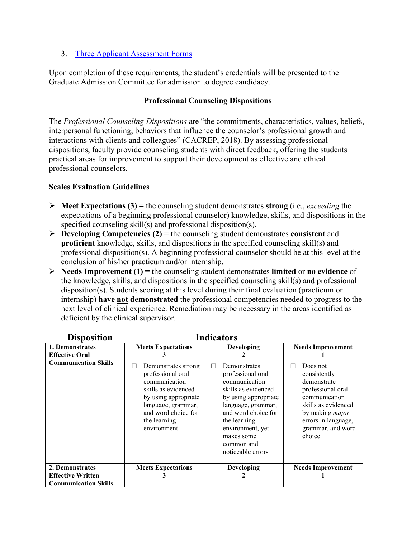#### 3. [Three Applicant Assessment Forms](http://form.jotformpro.com/form/42177157037960)

Upon completion of these requirements, the student's credentials will be presented to the Graduate Admission Committee for admission to degree candidacy.

### <span id="page-9-0"></span>**Professional Counseling Dispositions**

The *Professional Counseling Dispositions* are "the commitments, characteristics, values, beliefs, interpersonal functioning, behaviors that influence the counselor's professional growth and interactions with clients and colleagues" (CACREP, 2018). By assessing professional dispositions, faculty provide counseling students with direct feedback, offering the students practical areas for improvement to support their development as effective and ethical professional counselors.

#### **Scales Evaluation Guidelines**

- $\triangleright$  **Meet Expectations (3)** = the counseling student demonstrates **strong** (i.e., *exceeding* the expectations of a beginning professional counselor) knowledge, skills, and dispositions in the specified counseling skill(s) and professional disposition(s).
- $\triangleright$  **Developing Competencies (2)** = the counseling student demonstrates **consistent** and **proficient** knowledge, skills, and dispositions in the specified counseling skill(s) and professional disposition(s). A beginning professional counselor should be at this level at the conclusion of his/her practicum and/or internship.
- **Needs Improvement (1) =** the counseling student demonstrates **limited** or **no evidence** of the knowledge, skills, and dispositions in the specified counseling skill(s) and professional disposition(s). Students scoring at this level during their final evaluation (practicum or internship) **have not demonstrated** the professional competencies needed to progress to the next level of clinical experience. Remediation may be necessary in the areas identified as deficient by the clinical supervisor.

| <b>Disposition</b>                       | <b>Indicators</b>                                                                                                                                                                         |                                                                                                                                                                                                                                          |                                                                                                                                                                                           |
|------------------------------------------|-------------------------------------------------------------------------------------------------------------------------------------------------------------------------------------------|------------------------------------------------------------------------------------------------------------------------------------------------------------------------------------------------------------------------------------------|-------------------------------------------------------------------------------------------------------------------------------------------------------------------------------------------|
| 1. Demonstrates<br><b>Effective Oral</b> | <b>Meets Expectations</b>                                                                                                                                                                 | <b>Developing</b>                                                                                                                                                                                                                        | <b>Needs Improvement</b>                                                                                                                                                                  |
| <b>Communication Skills</b>              | Demonstrates strong<br>ш<br>professional oral<br>communication<br>skills as evidenced<br>by using appropriate<br>language, grammar,<br>and word choice for<br>the learning<br>environment | Demonstrates<br>L<br>professional oral<br>communication<br>skills as evidenced<br>by using appropriate<br>language, grammar,<br>and word choice for<br>the learning<br>environment, yet<br>makes some<br>common and<br>noticeable errors | Does not<br>П<br>consistently<br>demonstrate<br>professional oral<br>communication<br>skills as evidenced<br>by making <i>major</i><br>errors in language,<br>grammar, and word<br>choice |
| 2. Demonstrates                          | <b>Meets Expectations</b>                                                                                                                                                                 | Developing                                                                                                                                                                                                                               | <b>Needs Improvement</b>                                                                                                                                                                  |
| <b>Effective Written</b>                 |                                                                                                                                                                                           |                                                                                                                                                                                                                                          |                                                                                                                                                                                           |
| <b>Communication Skills</b>              |                                                                                                                                                                                           |                                                                                                                                                                                                                                          |                                                                                                                                                                                           |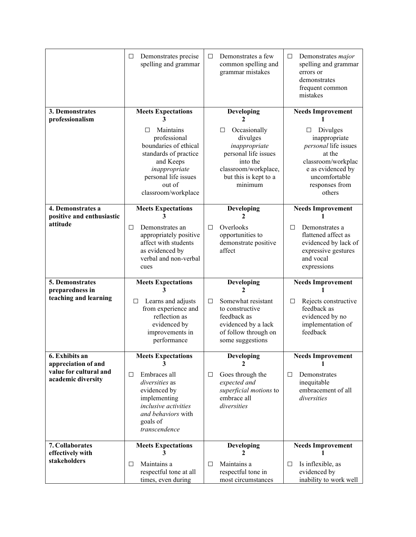|                                                                     | Demonstrates precise<br>□<br>spelling and grammar                                                                                                                        | Demonstrates a few<br>$\Box$<br>common spelling and<br>grammar mistakes                                                                        | $\Box$<br>Demonstrates major<br>spelling and grammar<br>errors or<br>demonstrates<br>frequent common<br>mistakes                                         |
|---------------------------------------------------------------------|--------------------------------------------------------------------------------------------------------------------------------------------------------------------------|------------------------------------------------------------------------------------------------------------------------------------------------|----------------------------------------------------------------------------------------------------------------------------------------------------------|
| 3. Demonstrates<br>professionalism                                  | <b>Meets Expectations</b>                                                                                                                                                | Developing<br>2                                                                                                                                | <b>Needs Improvement</b>                                                                                                                                 |
|                                                                     | Maintains<br>ΙI<br>professional<br>boundaries of ethical<br>standards of practice<br>and Keeps<br>inappropriate<br>personal life issues<br>out of<br>classroom/workplace | Occasionally<br>□<br>divulges<br>inappropriate<br>personal life issues<br>into the<br>classroom/workplace,<br>but this is kept to a<br>minimum | Divulges<br>□<br>inappropriate<br>personal life issues<br>at the<br>classroom/workplac<br>e as evidenced by<br>uncomfortable<br>responses from<br>others |
| 4. Demonstrates a                                                   | <b>Meets Expectations</b>                                                                                                                                                | <b>Developing</b>                                                                                                                              | <b>Needs Improvement</b>                                                                                                                                 |
| positive and enthusiastic<br>attitude                               | 3<br>□<br>Demonstrates an                                                                                                                                                | 2<br>Overlooks<br>$\Box$                                                                                                                       | Demonstrates a<br>П                                                                                                                                      |
|                                                                     | appropriately positive<br>affect with students<br>as evidenced by<br>verbal and non-verbal<br>cues                                                                       | opportunities to<br>demonstrate positive<br>affect                                                                                             | flattened affect as<br>evidenced by lack of<br>expressive gestures<br>and vocal<br>expressions                                                           |
| <b>5. Demonstrates</b>                                              | <b>Meets Expectations</b>                                                                                                                                                | Developing                                                                                                                                     | <b>Needs Improvement</b>                                                                                                                                 |
| preparedness in<br>teaching and learning                            | Learns and adjusts<br>$\Box$<br>from experience and<br>reflection as<br>evidenced by<br>improvements in<br>performance                                                   | 2<br>Somewhat resistant<br>□<br>to constructive<br>feedback as<br>evidenced by a lack<br>of follow through on<br>some suggestions              | Rejects constructive<br>□<br>feedback as<br>evidenced by no<br>implementation of<br>feedback                                                             |
| 6. Exhibits an                                                      | <b>Meets Expectations</b>                                                                                                                                                | <b>Developing</b>                                                                                                                              | <b>Needs Improvement</b>                                                                                                                                 |
| appreciation of and<br>value for cultural and<br>academic diversity |                                                                                                                                                                          | ν.                                                                                                                                             |                                                                                                                                                          |
|                                                                     | Embraces all<br>□<br>diversities as<br>evidenced by<br>implementing<br>inclusive activities<br>and behaviors with<br>goals of<br>transcendence                           | Goes through the<br>$\Box$<br>expected and<br>superficial motions to<br>embrace all<br>diversities                                             | Demonstrates<br>□<br>inequitable<br>embracement of all<br>diversities                                                                                    |
| 7. Collaborates<br>effectively with                                 | <b>Meets Expectations</b>                                                                                                                                                | <b>Developing</b><br>$\mathfrak{D}$                                                                                                            | <b>Needs Improvement</b>                                                                                                                                 |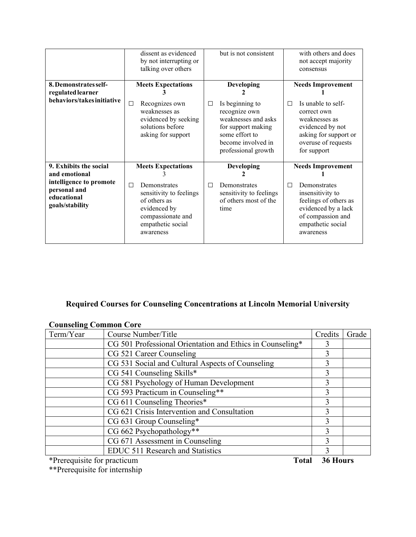|                                                                                                                      | dissent as evidenced<br>by not interrupting or<br>talking over others                                                                                            | but is not consistent                                                                                                                                                       | with others and does<br>not accept majority<br>consensus                                                                                                                 |
|----------------------------------------------------------------------------------------------------------------------|------------------------------------------------------------------------------------------------------------------------------------------------------------------|-----------------------------------------------------------------------------------------------------------------------------------------------------------------------------|--------------------------------------------------------------------------------------------------------------------------------------------------------------------------|
| 8. Demonstrates self-<br>regulated learner<br>behaviors/takes initiative                                             | <b>Meets Expectations</b><br>$\Box$<br>Recognizes own<br>weaknesses as<br>evidenced by seeking<br>solutions before<br>asking for support                         | <b>Developing</b><br>Is beginning to<br>$\Box$<br>recognize own<br>weaknesses and asks<br>for support making<br>some effort to<br>become involved in<br>professional growth | <b>Needs Improvement</b><br>Is unable to self-<br>П<br>correct own<br>weaknesses as<br>evidenced by not<br>asking for support or<br>overuse of requests<br>for support   |
| 9. Exhibits the social<br>and emotional<br>intelligence to promote<br>personal and<br>educational<br>goals/stability | <b>Meets Expectations</b><br>□<br>Demonstrates<br>sensitivity to feelings<br>of others as<br>evidenced by<br>compassionate and<br>empathetic social<br>awareness | <b>Developing</b><br>Demonstrates<br>П<br>sensitivity to feelings<br>of others most of the<br>time                                                                          | <b>Needs Improvement</b><br>Demonstrates<br>П<br>insensitivity to<br>feelings of others as<br>evidenced by a lack<br>of compassion and<br>empathetic social<br>awareness |

# <span id="page-11-0"></span>**Required Courses for Counseling Concentrations at Lincoln Memorial University**

| Term/Year | Course Number/Title                                       | Credits | Grade |
|-----------|-----------------------------------------------------------|---------|-------|
|           | CG 501 Professional Orientation and Ethics in Counseling* |         |       |
|           | CG 521 Career Counseling                                  | 3       |       |
|           | CG 531 Social and Cultural Aspects of Counseling          |         |       |
|           | CG 541 Counseling Skills*                                 | 3       |       |
|           | CG 581 Psychology of Human Development                    | 3       |       |
|           | CG 593 Practicum in Counseling**                          | 3       |       |
|           | CG 611 Counseling Theories*                               | 3       |       |
|           | CG 621 Crisis Intervention and Consultation               | 3       |       |
|           | CG 631 Group Counseling*                                  | 3       |       |
|           | CG 662 Psychopathology**                                  | 3       |       |
|           | CG 671 Assessment in Counseling                           | 3       |       |
|           | EDUC 511 Research and Statistics                          | 3       |       |

## **Counseling Common Core**

\*Prerequisite for practicum **Total 36 Hours**

\*\*Prerequisite for internship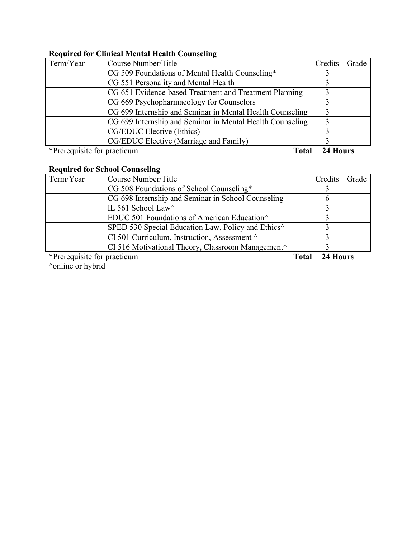## **Required for Clinical Mental Health Counseling**

| Term/Year                   | Course Number/Title                                       | Credits  | Grade |
|-----------------------------|-----------------------------------------------------------|----------|-------|
|                             | CG 509 Foundations of Mental Health Counseling*           |          |       |
|                             | CG 551 Personality and Mental Health                      |          |       |
|                             | CG 651 Evidence-based Treatment and Treatment Planning    |          |       |
|                             | CG 669 Psychopharmacology for Counselors                  |          |       |
|                             | CG 699 Internship and Seminar in Mental Health Counseling |          |       |
|                             | CG 699 Internship and Seminar in Mental Health Counseling |          |       |
|                             | CG/EDUC Elective (Ethics)                                 |          |       |
|                             | CG/EDUC Elective (Marriage and Family)                    |          |       |
| *Prerequisite for practicum | <b>Total</b>                                              | 24 Hours |       |

## **Required for School Counseling**

| Term/Year | Course Number/Title                                                              | Credits | Grade |
|-----------|----------------------------------------------------------------------------------|---------|-------|
|           | CG 508 Foundations of School Counseling*                                         |         |       |
|           | CG 698 Internship and Seminar in School Counseling                               |         |       |
|           | IL 561 School Law                                                                |         |       |
|           | EDUC 501 Foundations of American Education                                       |         |       |
|           | SPED 530 Special Education Law, Policy and Ethics <sup><math>\wedge</math></sup> |         |       |
|           | CI 501 Curriculum, Instruction, Assessment $\wedge$                              |         |       |
|           | CI 516 Motivational Theory, Classroom Management $\wedge$                        |         |       |

\*Prerequisite for practicum **Total 24 Hours**

^online or hybrid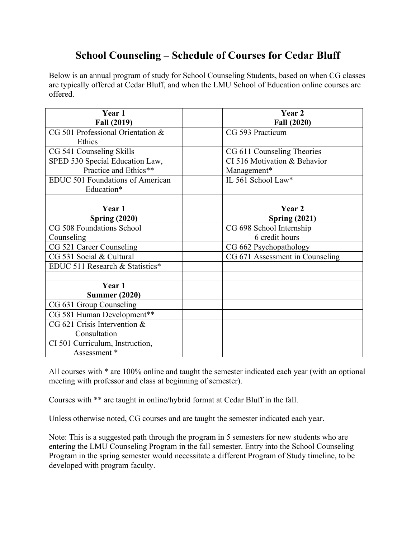# **School Counseling – Schedule of Courses for Cedar Bluff**

Below is an annual program of study for School Counseling Students, based on when CG classes are typically offered at Cedar Bluff, and when the LMU School of Education online courses are offered.

| Year 1                                  | Year 2                          |
|-----------------------------------------|---------------------------------|
| <b>Fall (2019)</b>                      | Fall (2020)                     |
| CG 501 Professional Orientation &       | CG 593 Practicum                |
| Ethics                                  |                                 |
| CG 541 Counseling Skills                | CG 611 Counseling Theories      |
| SPED 530 Special Education Law,         | CI 516 Motivation & Behavior    |
| Practice and Ethics**                   | Management*                     |
| <b>EDUC 501 Foundations of American</b> | IL 561 School Law*              |
| Education*                              |                                 |
|                                         |                                 |
| Year 1                                  | Year 2                          |
| <b>Spring (2020)</b>                    | <b>Spring (2021)</b>            |
| CG 508 Foundations School               | CG 698 School Internship        |
| Counseling                              | 6 credit hours                  |
| CG 521 Career Counseling                | CG 662 Psychopathology          |
| CG 531 Social & Cultural                | CG 671 Assessment in Counseling |
| EDUC 511 Research & Statistics*         |                                 |
|                                         |                                 |
| Year 1                                  |                                 |
| <b>Summer (2020)</b>                    |                                 |
| CG 631 Group Counseling                 |                                 |
| CG 581 Human Development**              |                                 |
| CG 621 Crisis Intervention &            |                                 |
| Consultation                            |                                 |
| CI 501 Curriculum, Instruction,         |                                 |
| Assessment*                             |                                 |

All courses with \* are 100% online and taught the semester indicated each year (with an optional meeting with professor and class at beginning of semester).

Courses with \*\* are taught in online/hybrid format at Cedar Bluff in the fall.

Unless otherwise noted, CG courses and are taught the semester indicated each year.

Note: This is a suggested path through the program in 5 semesters for new students who are entering the LMU Counseling Program in the fall semester. Entry into the School Counseling Program in the spring semester would necessitate a different Program of Study timeline, to be developed with program faculty.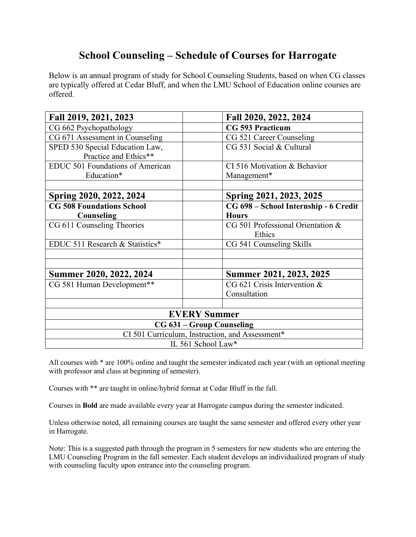# **School Counseling – Schedule of Courses for Harrogate**

Below is an annual program of study for School Counseling Students, based on when CG classes are typically offered at Cedar Bluff, and when the LMU School of Education online courses are offered.

| Fall 2019, 2021, 2023                           | Fall 2020, 2022, 2024                 |  |
|-------------------------------------------------|---------------------------------------|--|
| CG 662 Psychopathology                          | <b>CG 593 Practicum</b>               |  |
| CG 671 Assessment in Counseling                 | CG 521 Career Counseling              |  |
| SPED 530 Special Education Law,                 | CG 531 Social & Cultural              |  |
| Practice and Ethics**                           |                                       |  |
| <b>EDUC 501 Foundations of American</b>         | CI 516 Motivation & Behavior          |  |
| Education*                                      | Management*                           |  |
|                                                 |                                       |  |
| Spring 2020, 2022, 2024                         | Spring 2021, 2023, 2025               |  |
| <b>CG 508 Foundations School</b>                | CG 698 - School Internship - 6 Credit |  |
| Counseling                                      | <b>Hours</b>                          |  |
| CG 611 Counseling Theories                      | CG 501 Professional Orientation &     |  |
|                                                 | Ethics                                |  |
| EDUC 511 Research & Statistics*                 | CG 541 Counseling Skills              |  |
|                                                 |                                       |  |
|                                                 |                                       |  |
| Summer 2020, 2022, 2024                         | Summer 2021, 2023, 2025               |  |
| CG 581 Human Development**                      | CG 621 Crisis Intervention &          |  |
|                                                 | Consultation                          |  |
|                                                 |                                       |  |
|                                                 | <b>EVERY Summer</b>                   |  |
| CG 631 – Group Counseling                       |                                       |  |
| CI 501 Curriculum, Instruction, and Assessment* |                                       |  |
|                                                 | IL 561 School Law*                    |  |

All courses with \* are 100% online and taught the semester indicated each year (with an optional meeting with professor and class at beginning of semester).

Courses with \*\* are taught in online/hybrid format at Cedar Bluff in the fall.

Courses in **Bold** are made available every year at Harrogate campus during the semester indicated.

Unless otherwise noted, all remaining courses are taught the same semester and offered every other year in Harrogate.

Note: This is a suggested path through the program in 5 semesters for new students who are entering the LMU Counseling Program in the fall semester. Each student develops an individualized program of study with counseling faculty upon entrance into the counseling program.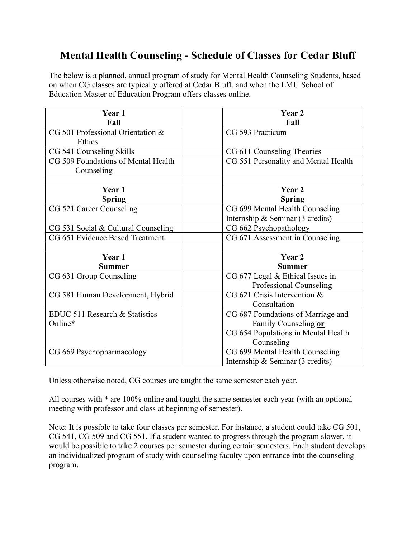# **Mental Health Counseling - Schedule of Classes for Cedar Bluff**

The below is a planned, annual program of study for Mental Health Counseling Students, based on when CG classes are typically offered at Cedar Bluff, and when the LMU School of Education Master of Education Program offers classes online.

| Year 1                              | Year 2                                     |
|-------------------------------------|--------------------------------------------|
| Fall                                | Fall                                       |
| CG 501 Professional Orientation &   | CG 593 Practicum                           |
| Ethics                              |                                            |
| CG 541 Counseling Skills            | CG 611 Counseling Theories                 |
| CG 509 Foundations of Mental Health | CG 551 Personality and Mental Health       |
| Counseling                          |                                            |
|                                     |                                            |
| Year 1                              | Year 2                                     |
| <b>Spring</b>                       | <b>Spring</b>                              |
| CG 521 Career Counseling            | CG 699 Mental Health Counseling            |
|                                     | Internship & Seminar (3 credits)           |
| CG 531 Social & Cultural Counseling | CG 662 Psychopathology                     |
| CG 651 Evidence Based Treatment     | CG 671 Assessment in Counseling            |
|                                     |                                            |
| Year 1                              | Year 2                                     |
| <b>Summer</b>                       | <b>Summer</b>                              |
| CG 631 Group Counseling             | CG 677 Legal & Ethical Issues in           |
|                                     | Professional Counseling                    |
| CG 581 Human Development, Hybrid    | CG 621 Crisis Intervention &               |
|                                     | Consultation                               |
| EDUC 511 Research & Statistics      | CG 687 Foundations of Marriage and         |
| Online*                             | Family Counseling or                       |
|                                     | CG 654 Populations in Mental Health        |
|                                     | Counseling                                 |
| CG 669 Psychopharmacology           | CG 699 Mental Health Counseling            |
|                                     | Internship & Seminar $(3 \text{ credits})$ |

Unless otherwise noted, CG courses are taught the same semester each year.

All courses with \* are 100% online and taught the same semester each year (with an optional meeting with professor and class at beginning of semester).

Note: It is possible to take four classes per semester. For instance, a student could take CG 501, CG 541, CG 509 and CG 551. If a student wanted to progress through the program slower, it would be possible to take 2 courses per semester during certain semesters. Each student develops an individualized program of study with counseling faculty upon entrance into the counseling program.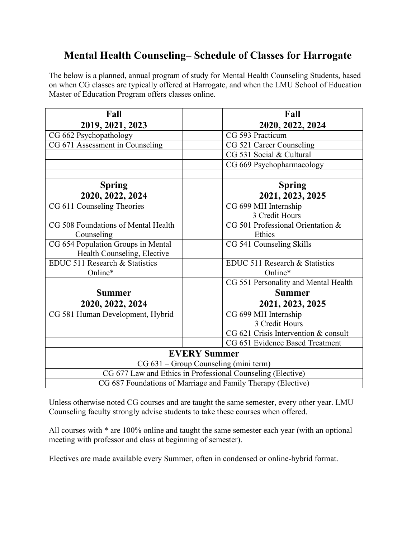# **Mental Health Counseling– Schedule of Classes for Harrogate**

The below is a planned, annual program of study for Mental Health Counseling Students, based on when CG classes are typically offered at Harrogate, and when the LMU School of Education Master of Education Program offers classes online.

| Fall                                                         | Fall                                  |  |
|--------------------------------------------------------------|---------------------------------------|--|
| 2019, 2021, 2023                                             | 2020, 2022, 2024                      |  |
| CG 662 Psychopathology                                       | CG 593 Practicum                      |  |
| CG 671 Assessment in Counseling                              | CG 521 Career Counseling              |  |
|                                                              | CG 531 Social & Cultural              |  |
|                                                              | CG 669 Psychopharmacology             |  |
|                                                              |                                       |  |
| <b>Spring</b>                                                | <b>Spring</b>                         |  |
| 2020, 2022, 2024                                             | 2021, 2023, 2025                      |  |
| CG 611 Counseling Theories                                   | CG 699 MH Internship                  |  |
|                                                              | 3 Credit Hours                        |  |
| CG 508 Foundations of Mental Health                          | CG 501 Professional Orientation &     |  |
| Counseling                                                   | Ethics                                |  |
| CG 654 Population Groups in Mental                           | CG 541 Counseling Skills              |  |
| Health Counseling, Elective                                  |                                       |  |
| EDUC 511 Research & Statistics                               | EDUC 511 Research & Statistics        |  |
| Online*                                                      | Online*                               |  |
|                                                              | CG 551 Personality and Mental Health  |  |
| <b>Summer</b>                                                | <b>Summer</b>                         |  |
| 2020, 2022, 2024                                             | 2021, 2023, 2025                      |  |
| CG 581 Human Development, Hybrid                             | CG 699 MH Internship                  |  |
|                                                              | 3 Credit Hours                        |  |
|                                                              | CG 621 Crisis Intervention & consult  |  |
|                                                              | CG 651 Evidence Based Treatment       |  |
|                                                              | <b>EVERY Summer</b>                   |  |
|                                                              | CG 631 – Group Counseling (mini term) |  |
| CG 677 Law and Ethics in Professional Counseling (Elective)  |                                       |  |
| CG 687 Foundations of Marriage and Family Therapy (Elective) |                                       |  |

Unless otherwise noted CG courses and are taught the same semester, every other year. LMU Counseling faculty strongly advise students to take these courses when offered.

All courses with \* are 100% online and taught the same semester each year (with an optional meeting with professor and class at beginning of semester).

Electives are made available every Summer, often in condensed or online-hybrid format.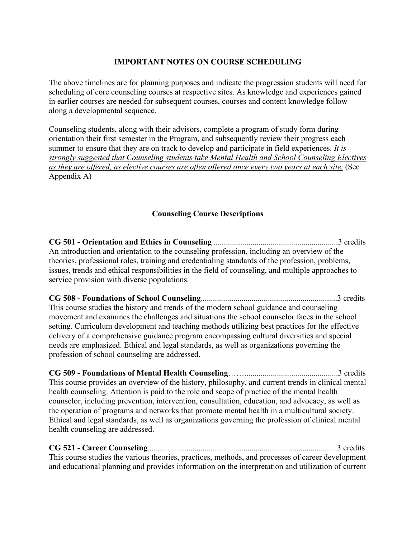## **IMPORTANT NOTES ON COURSE SCHEDULING**

<span id="page-17-0"></span>The above timelines are for planning purposes and indicate the progression students will need for scheduling of core counseling courses at respective sites. As knowledge and experiences gained in earlier courses are needed for subsequent courses, courses and content knowledge follow along a developmental sequence.

Counseling students, along with their advisors, complete a program of study form during orientation their first semester in the Program, and subsequently review their progress each summer to ensure that they are on track to develop and participate in field experiences. *It is strongly suggested that Counseling students take Mental Health and School Counseling Electives as they are offered, as elective courses are often offered once every two years at each site.* (See Appendix A)

## **Counseling Course Descriptions**

**CG 501 - Orientation and Ethics in Counseling** .............................................................3 credits An introduction and orientation to the counseling profession, including an overview of the theories, professional roles, training and credentialing standards of the profession, problems, issues, trends and ethical responsibilities in the field of counseling, and multiple approaches to service provision with diverse populations.

**CG 508 - Foundations of School Counseling**...................................................................3 credits This course studies the history and trends of the modern school guidance and counseling movement and examines the challenges and situations the school counselor faces in the school setting. Curriculum development and teaching methods utilizing best practices for the effective delivery of a comprehensive guidance program encompassing cultural diversities and special needs are emphasized. Ethical and legal standards, as well as organizations governing the profession of school counseling are addressed.

**CG 509 - Foundations of Mental Health Counseling**……..............................................3 credits This course provides an overview of the history, philosophy, and current trends in clinical mental health counseling. Attention is paid to the role and scope of practice of the mental health counselor, including prevention, intervention, consultation, education, and advocacy, as well as the operation of programs and networks that promote mental health in a multicultural society. Ethical and legal standards, as well as organizations governing the profession of clinical mental health counseling are addressed.

**CG 521 - Career Counseling**.............................................................................................3 credits This course studies the various theories, practices, methods, and processes of career development and educational planning and provides information on the interpretation and utilization of current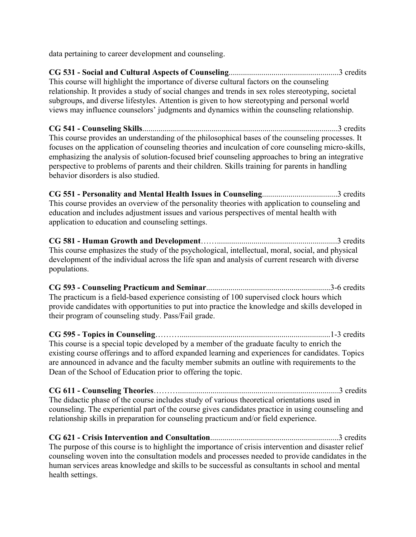data pertaining to career development and counseling.

**CG 531 - Social and Cultural Aspects of Counseling**......................................................3 credits This course will highlight the importance of diverse cultural factors on the counseling relationship. It provides a study of social changes and trends in sex roles stereotyping, societal subgroups, and diverse lifestyles. Attention is given to how stereotyping and personal world views may influence counselors' judgments and dynamics within the counseling relationship.

**CG 541 - Counseling Skills**................................................................................................3 credits This course provides an understanding of the philosophical bases of the counseling processes. It focuses on the application of counseling theories and inculcation of core counseling micro-skills, emphasizing the analysis of solution-focused brief counseling approaches to bring an integrative perspective to problems of parents and their children. Skills training for parents in handling behavior disorders is also studied.

**CG 551 - Personality and Mental Health Issues in Counseling**.....................................3 credits This course provides an overview of the personality theories with application to counseling and education and includes adjustment issues and various perspectives of mental health with application to education and counseling settings.

**CG 581 - Human Growth and Development**……...........................................................3 credits This course emphasizes the study of the psychological, intellectual, moral, social, and physical development of the individual across the life span and analysis of current research with diverse populations.

**CG 593 - Counseling Practicum and Seminar**.............................................................3-6 credits The practicum is a field-based experience consisting of 100 supervised clock hours which provide candidates with opportunities to put into practice the knowledge and skills developed in their program of counseling study. Pass/Fail grade.

**CG 595 - Topics in Counseling**………..........................................................................1-3 credits This course is a special topic developed by a member of the graduate faculty to enrich the existing course offerings and to afford expanded learning and experiences for candidates. Topics are announced in advance and the faculty member submits an outline with requirements to the Dean of the School of Education prior to offering the topic.

**CG 611 - Counseling Theories**………...............................................................................3 credits The didactic phase of the course includes study of various theoretical orientations used in counseling. The experiential part of the course gives candidates practice in using counseling and relationship skills in preparation for counseling practicum and/or field experience.

**CG 621 - Crisis Intervention and Consultation**...............................................................3 credits The purpose of this course is to highlight the importance of crisis intervention and disaster relief counseling woven into the consultation models and processes needed to provide candidates in the human services areas knowledge and skills to be successful as consultants in school and mental health settings.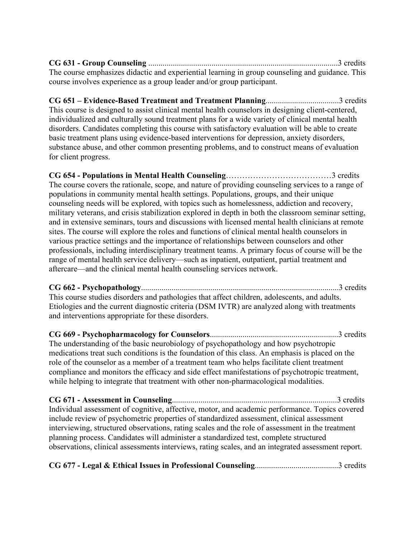**CG 631 - Group Counseling** .............................................................................................3 credits The course emphasizes didactic and experiential learning in group counseling and guidance. This course involves experience as a group leader and/or group participant.

**CG 651 – Evidence-Based Treatment and Treatment Planning**....................................3 credits This course is designed to assist clinical mental health counselors in designing client-centered, individualized and culturally sound treatment plans for a wide variety of clinical mental health disorders. Candidates completing this course with satisfactory evaluation will be able to create basic treatment plans using evidence-based interventions for depression, anxiety disorders, substance abuse, and other common presenting problems, and to construct means of evaluation for client progress.

**CG 654 - Populations in Mental Health Counseling**…………………………………3 credits The course covers the rationale, scope, and nature of providing counseling services to a range of populations in community mental health settings. Populations, groups, and their unique counseling needs will be explored, with topics such as homelessness, addiction and recovery, military veterans, and crisis stabilization explored in depth in both the classroom seminar setting, and in extensive seminars, tours and discussions with licensed mental health clinicians at remote sites. The course will explore the roles and functions of clinical mental health counselors in various practice settings and the importance of relationships between counselors and other professionals, including interdisciplinary treatment teams. A primary focus of course will be the range of mental health service delivery—such as inpatient, outpatient, partial treatment and aftercare—and the clinical mental health counseling services network.

**CG 662 - Psychopathology**.................................................................................................3 credits This course studies disorders and pathologies that affect children, adolescents, and adults. Etiologies and the current diagnostic criteria (DSM IVTR) are analyzed along with treatments and interventions appropriate for these disorders.

**CG 669 - Psychopharmacology for Counselors**...............................................................3 credits The understanding of the basic neurobiology of psychopathology and how psychotropic medications treat such conditions is the foundation of this class. An emphasis is placed on the role of the counselor as a member of a treatment team who helps facilitate client treatment compliance and monitors the efficacy and side effect manifestations of psychotropic treatment, while helping to integrate that treatment with other non-pharmacological modalities.

**CG 671 - Assessment in Counseling**.................................................................................3 credits Individual assessment of cognitive, affective, motor, and academic performance. Topics covered include review of psychometric properties of standardized assessment, clinical assessment interviewing, structured observations, rating scales and the role of assessment in the treatment planning process. Candidates will administer a standardized test, complete structured observations, clinical assessments interviews, rating scales, and an integrated assessment report.

**CG 677 - Legal & Ethical Issues in Professional Counseling**.........................................3 credits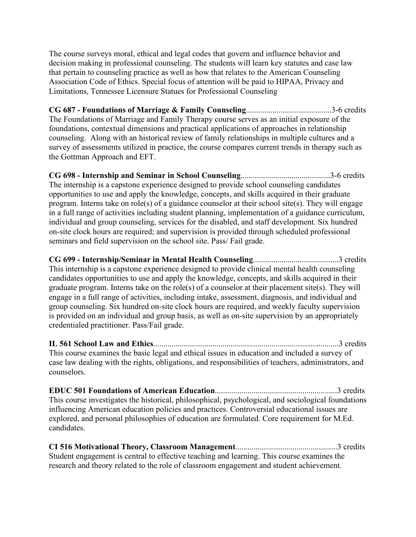The course surveys moral, ethical and legal codes that govern and influence behavior and decision making in professional counseling. The students will learn key statutes and case law that pertain to counseling practice as well as how that relates to the American Counseling Association Code of Ethics. Special focus of attention will be paid to HIPAA, Privacy and Limitations, Tennessee Licensure Statues for Professional Counseling

**CG 687 - Foundations of Marriage & Family Counseling**..........................................3-6 credits The Foundations of Marriage and Family Therapy course serves as an initial exposure of the foundations, contextual dimensions and practical applications of approaches in relationship counseling. Along with an historical review of family relationships in multiple cultures and a survey of assessments utilized in practice, the course compares current trends in therapy such as the Gottman Approach and EFT.

**CG 698 - Internship and Seminar in School Counseling**............................................3-6 credits The internship is a capstone experience designed to provide school counseling candidates opportunities to use and apply the knowledge, concepts, and skills acquired in their graduate program. Interns take on role(s) of a guidance counselor at their school site(s). They will engage in a full range of activities including student planning, implementation of a guidance curriculum, individual and group counseling, services for the disabled, and staff development. Six hundred on-site clock hours are required; and supervision is provided through scheduled professional seminars and field supervision on the school site. Pass/ Fail grade.

**CG 699 - Internship/Seminar in Mental Health Counseling**..........................................3 credits This internship is a capstone experience designed to provide clinical mental health counseling candidates opportunities to use and apply the knowledge, concepts, and skills acquired in their graduate program. Interns take on the role(s) of a counselor at their placement site(s). They will engage in a full range of activities, including intake, assessment, diagnosis, and individual and group counseling. Six hundred on-site clock hours are required, and weekly faculty supervision is provided on an individual and group basis, as well as on-site supervision by an appropriately credentialed practitioner. Pass/Fail grade.

**IL 561 School Law and Ethics**...........................................................................................3 credits This course examines the basic legal and ethical issues in education and included a survey of case law dealing with the rights, obligations, and responsibilities of teachers, administrators, and counselors.

**EDUC 501 Foundations of American Education**............................................................3 credits This course investigates the historical, philosophical, psychological, and sociological foundations influencing American education policies and practices. Controversial educational issues are explored, and personal philosophies of education are formulated. Core requirement for M.Ed. candidates.

**CI 516 Motivational Theory, Classroom Management**..................................................3 credits Student engagement is central to effective teaching and learning. This course examines the research and theory related to the role of classroom engagement and student achievement.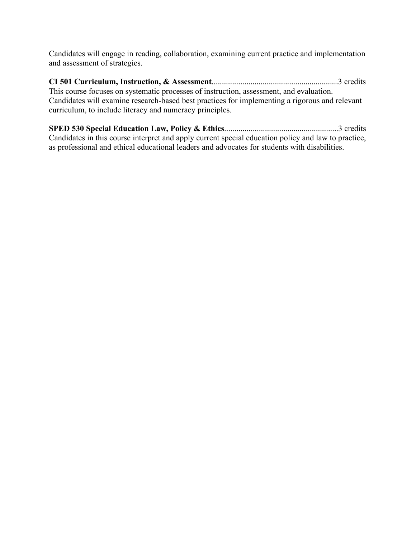Candidates will engage in reading, collaboration, examining current practice and implementation and assessment of strategies.

**CI 501 Curriculum, Instruction, & Assessment**..............................................................3 credits This course focuses on systematic processes of instruction, assessment, and evaluation. Candidates will examine research-based best practices for implementing a rigorous and relevant curriculum, to include literacy and numeracy principles.

<span id="page-21-0"></span>**SPED 530 Special Education Law, Policy & Ethics**........................................................3 credits Candidates in this course interpret and apply current special education policy and law to practice, as professional and ethical educational leaders and advocates for students with disabilities.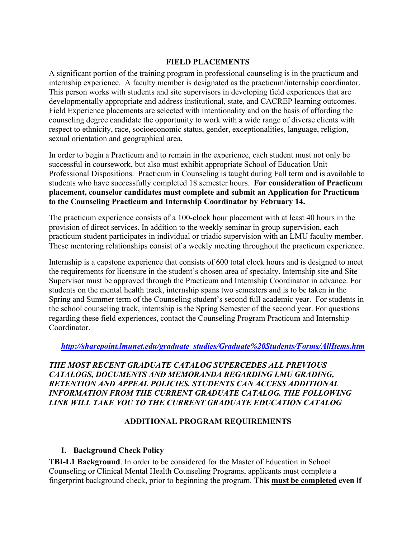#### **FIELD PLACEMENTS**

A significant portion of the training program in professional counseling is in the practicum and internship experience. A faculty member is designated as the practicum/internship coordinator. This person works with students and site supervisors in developing field experiences that are developmentally appropriate and address institutional, state, and CACREP learning outcomes. Field Experience placements are selected with intentionality and on the basis of affording the counseling degree candidate the opportunity to work with a wide range of diverse clients with respect to ethnicity, race, socioeconomic status, gender, exceptionalities, language, religion, sexual orientation and geographical area.

In order to begin a Practicum and to remain in the experience, each student must not only be successful in coursework, but also must exhibit appropriate School of Education Unit Professional Dispositions. Practicum in Counseling is taught during Fall term and is available to students who have successfully completed 18 semester hours. **For consideration of Practicum placement, counselor candidates must complete and submit an Application for Practicum to the Counseling Practicum and Internship Coordinator by February 14.** 

The practicum experience consists of a 100-clock hour placement with at least 40 hours in the provision of direct services. In addition to the weekly seminar in group supervision, each practicum student participates in individual or triadic supervision with an LMU faculty member. These mentoring relationships consist of a weekly meeting throughout the practicum experience.

Internship is a capstone experience that consists of 600 total clock hours and is designed to meet the requirements for licensure in the student's chosen area of specialty. Internship site and Site Supervisor must be approved through the Practicum and Internship Coordinator in advance. For students on the mental health track, internship spans two semesters and is to be taken in the Spring and Summer term of the Counseling student's second full academic year. For students in the school counseling track, internship is the Spring Semester of the second year. For questions regarding these field experiences, contact the Counseling Program Practicum and Internship Coordinator.

#### *[http://sharepoint.lmunet.edu/graduate\\_studies/Graduate%20Students/Forms/AllItems.htm](http://sharepoint.lmunet.edu/graduate_studies/Graduate%20Students/Forms/AllItems.htm)*

#### *THE MOST RECENT GRADUATE CATALOG SUPERCEDES ALL PREVIOUS CATALOGS, DOCUMENTS AND MEMORANDA REGARDING LMU GRADING, RETENTION AND APPEAL POLICIES. STUDENTS CAN ACCESS ADDITIONAL INFORMATION FROM THE CURRENT GRADUATE CATALOG. THE FOLLOWING LINK WILL TAKE YOU TO THE CURRENT GRADUATE EDUCATION CATALOG*

#### **ADDITIONAL PROGRAM REQUIREMENTS**

#### <span id="page-22-1"></span><span id="page-22-0"></span>**I. Background Check Policy**

**TBI-L1 Background**. In order to be considered for the Master of Education in School Counseling or Clinical Mental Health Counseling Programs, applicants must complete a fingerprint background check, prior to beginning the program. **This must be completed even if**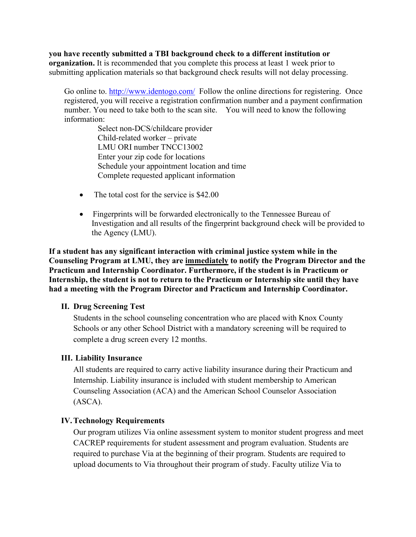**you have recently submitted a TBI background check to a different institution or organization.** It is recommended that you complete this process at least 1 week prior to submitting application materials so that background check results will not delay processing.

Go online to.<http://www.identogo.com/> Follow the online directions for registering. Once registered, you will receive a registration confirmation number and a payment confirmation number. You need to take both to the scan site. You will need to know the following information:

> Select non-DCS/childcare provider Child-related worker – private LMU ORI number TNCC13002 Enter your zip code for locations Schedule your appointment location and time Complete requested applicant information

- The total cost for the service is \$42.00
- Fingerprints will be forwarded electronically to the Tennessee Bureau of Investigation and all results of the fingerprint background check will be provided to the Agency (LMU).

**If a student has any significant interaction with criminal justice system while in the Counseling Program at LMU, they are immediately to notify the Program Director and the Practicum and Internship Coordinator. Furthermore, if the student is in Practicum or Internship, the student is not to return to the Practicum or Internship site until they have had a meeting with the Program Director and Practicum and Internship Coordinator.**

#### <span id="page-23-0"></span>**II. Drug Screening Test**

Students in the school counseling concentration who are placed with Knox County Schools or any other School District with a mandatory screening will be required to complete a drug screen every 12 months.

#### <span id="page-23-1"></span>**III. Liability Insurance**

All students are required to carry active liability insurance during their Practicum and Internship. Liability insurance is included with student membership to American Counseling Association (ACA) and the American School Counselor Association (ASCA).

#### <span id="page-23-2"></span>**IV.Technology Requirements**

Our program utilizes Via online assessment system to monitor student progress and meet CACREP requirements for student assessment and program evaluation. Students are required to purchase Via at the beginning of their program. Students are required to upload documents to Via throughout their program of study. Faculty utilize Via to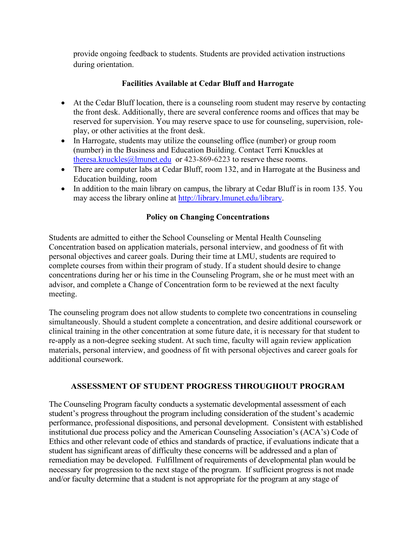provide ongoing feedback to students. Students are provided activation instructions during orientation.

## **Facilities Available at Cedar Bluff and Harrogate**

- <span id="page-24-0"></span>• At the Cedar Bluff location, there is a counseling room student may reserve by contacting the front desk. Additionally, there are several conference rooms and offices that may be reserved for supervision. You may reserve space to use for counseling, supervision, roleplay, or other activities at the front desk.
- In Harrogate, students may utilize the counseling office (number) or group room (number) in the Business and Education Building. Contact Terri Knuckles at [theresa.knuckles@lmunet.edu](mailto:theresa.knuckles@lmunet.edu) or 423-869-6223 to reserve these rooms.
- There are computer labs at Cedar Bluff, room 132, and in Harrogate at the Business and Education building, room
- In addition to the main library on campus, the library at Cedar Bluff is in room 135. You may access the library online at [http://library.lmunet.edu/library.](http://library.lmunet.edu/library)

## **Policy on Changing Concentrations**

<span id="page-24-1"></span>Students are admitted to either the School Counseling or Mental Health Counseling Concentration based on application materials, personal interview, and goodness of fit with personal objectives and career goals. During their time at LMU, students are required to complete courses from within their program of study. If a student should desire to change concentrations during her or his time in the Counseling Program, she or he must meet with an advisor, and complete a Change of Concentration form to be reviewed at the next faculty meeting.

The counseling program does not allow students to complete two concentrations in counseling simultaneously. Should a student complete a concentration, and desire additional coursework or clinical training in the other concentration at some future date, it is necessary for that student to re-apply as a non-degree seeking student. At such time, faculty will again review application materials, personal interview, and goodness of fit with personal objectives and career goals for additional coursework.

#### <span id="page-24-2"></span>**ASSESSMENT OF STUDENT PROGRESS THROUGHOUT PROGRAM**

The Counseling Program faculty conducts a systematic developmental assessment of each student's progress throughout the program including consideration of the student's academic performance, professional dispositions, and personal development. Consistent with established institutional due process policy and the American Counseling Association's (ACA's) Code of Ethics and other relevant code of ethics and standards of practice, if evaluations indicate that a student has significant areas of difficulty these concerns will be addressed and a plan of remediation may be developed. Fulfillment of requirements of developmental plan would be necessary for progression to the next stage of the program. If sufficient progress is not made and/or faculty determine that a student is not appropriate for the program at any stage of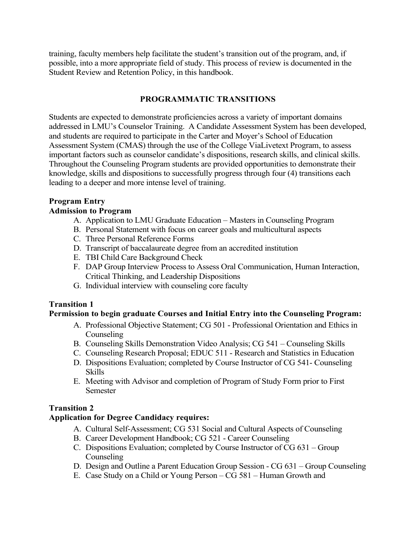training, faculty members help facilitate the student's transition out of the program, and, if possible, into a more appropriate field of study. This process of review is documented in the Student Review and Retention Policy, in this handbook.

### **PROGRAMMATIC TRANSITIONS**

<span id="page-25-0"></span>Students are expected to demonstrate proficiencies across a variety of important domains addressed in LMU's Counselor Training. A Candidate Assessment System has been developed, and students are required to participate in the Carter and Moyer's School of Education Assessment System (CMAS) through the use of the College ViaLivetext Program, to assess important factors such as counselor candidate's dispositions, research skills, and clinical skills. Throughout the Counseling Program students are provided opportunities to demonstrate their knowledge, skills and dispositions to successfully progress through four (4) transitions each leading to a deeper and more intense level of training.

## <span id="page-25-1"></span>**Program Entry**

## **Admission to Program**

- A. Application to LMU Graduate Education Masters in Counseling Program
- B. Personal Statement with focus on career goals and multicultural aspects
- C. Three Personal Reference Forms
- D. Transcript of baccalaureate degree from an accredited institution
- E. TBI Child Care Background Check
- F. DAP Group Interview Process to Assess Oral Communication, Human Interaction, Critical Thinking, and Leadership Dispositions
- G. Individual interview with counseling core faculty

## **Transition 1**

#### **Permission to begin graduate Courses and Initial Entry into the Counseling Program:**

- A. Professional Objective Statement; CG 501 Professional Orientation and Ethics in Counseling
- B. Counseling Skills Demonstration Video Analysis; CG 541 Counseling Skills
- C. Counseling Research Proposal; EDUC 511 Research and Statistics in Education
- D. Dispositions Evaluation; completed by Course Instructor of CG 541- Counseling Skills
- E. Meeting with Advisor and completion of Program of Study Form prior to First Semester

## <span id="page-25-2"></span>**Transition 2**

## **Application for Degree Candidacy requires:**

- A. Cultural Self-Assessment; CG 531 Social and Cultural Aspects of Counseling
- B. Career Development Handbook; CG 521 Career Counseling
- C. Dispositions Evaluation; completed by Course Instructor of CG 631 Group Counseling
- D. Design and Outline a Parent Education Group Session CG 631 Group Counseling
- E. Case Study on a Child or Young Person CG 581 Human Growth and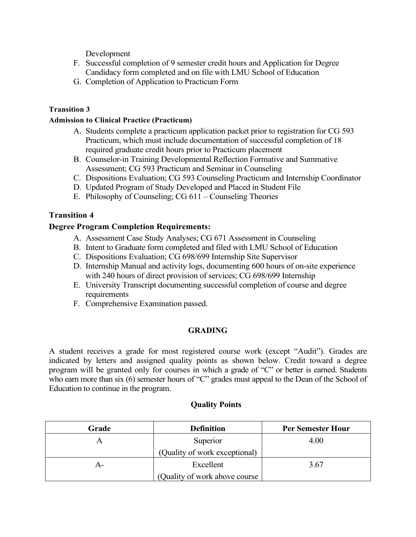Development

- F. Successful completion of 9 semester credit hours and Application for Degree Candidacy form completed and on file with LMU School of Education
- G. Completion of Application to Practicum Form

#### <span id="page-26-0"></span>**Transition 3**

#### **Admission to Clinical Practice (Practicum)**

- A. Students complete a practicum application packet prior to registration for CG 593 Practicum, which must include documentation of successful completion of 18 required graduate credit hours prior to Practicum placement
- B. Counselor-in Training Developmental Reflection Formative and Summative Assessment; CG 593 Practicum and Seminar in Counseling
- C. Dispositions Evaluation; CG 593 Counseling Practicum and Internship Coordinator
- D. Updated Program of Study Developed and Placed in Student File
- E. Philosophy of Counseling; CG 611 Counseling Theories

#### <span id="page-26-1"></span>**Transition 4**

#### **Degree Program Completion Requirements:**

- A. Assessment Case Study Analyses; CG 671 Assessment in Counseling
- B. Intent to Graduate form completed and filed with LMU School of Education
- C. Dispositions Evaluation; CG 698/699 Internship Site Supervisor
- D. Internship Manual and activity logs, documenting 600 hours of on-site experience with 240 hours of direct provision of services; CG 698/699 Internship
- E. University Transcript documenting successful completion of course and degree requirements
- F. Comprehensive Examination passed.

#### **GRADING**

<span id="page-26-2"></span>A student receives a grade for most registered course work (except "Audit"). Grades are indicated by letters and assigned quality points as shown below. Credit toward a degree program will be granted only for courses in which a grade of "C" or better is earned. Students who earn more than six (6) semester hours of "C" grades must appeal to the Dean of the School of Education to continue in the program.

#### **Quality Points**

| Grade | <b>Definition</b>             | <b>Per Semester Hour</b> |
|-------|-------------------------------|--------------------------|
|       | Superior                      | 4.00                     |
|       | (Quality of work exceptional) |                          |
| А-    | Excellent                     | 3.67                     |
|       | (Quality of work above course |                          |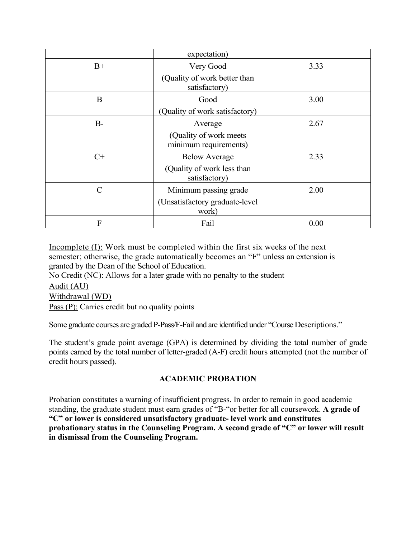|               | expectation)                                     |      |
|---------------|--------------------------------------------------|------|
| $B+$          | Very Good                                        | 3.33 |
|               | (Quality of work better than<br>satisfactory)    |      |
| B             | Good                                             | 3.00 |
|               | (Quality of work satisfactory)                   |      |
| $B-$          | Average                                          | 2.67 |
|               | (Quality of work meets)<br>minimum requirements) |      |
| $C+$          | <b>Below Average</b>                             | 2.33 |
|               | (Quality of work less than<br>satisfactory)      |      |
| $\mathcal{C}$ | Minimum passing grade                            | 2.00 |
|               | (Unsatisfactory graduate-level<br>work)          |      |
| F             | Fail                                             | 0.00 |

Incomplete (I): Work must be completed within the first six weeks of the next semester; otherwise, the grade automatically becomes an "F" unless an extension is granted by the Dean of the School of Education.

No Credit (NC): Allows for a later grade with no penalty to the student

Audit (AU) Withdrawal (WD)

Pass (P): Carries credit but no quality points

Some graduate courses are graded P-Pass/F-Fail and are identified under "Course Descriptions."

<span id="page-27-0"></span>The student's grade point average (GPA) is determined by dividing the total number of grade points earned by the total number of letter-graded (A-F) credit hours attempted (not the number of credit hours passed).

## **ACADEMIC PROBATION**

Probation constitutes a warning of insufficient progress. In order to remain in good academic standing, the graduate student must earn grades of "B-"or better for all coursework. **A grade of "C" or lower is considered unsatisfactory graduate- level work and constitutes probationary status in the Counseling Program. A second grade of "C" or lower will result in dismissal from the Counseling Program.**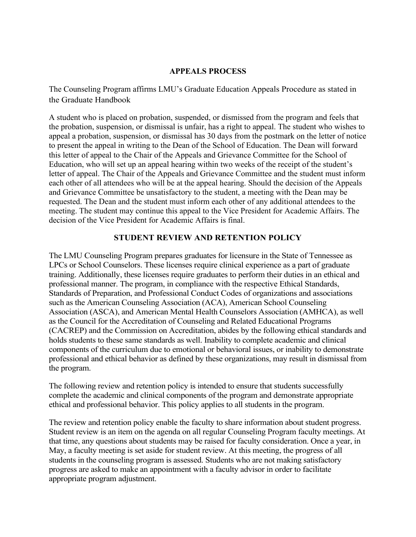#### **APPEALS PROCESS**

<span id="page-28-0"></span>The Counseling Program affirms LMU's Graduate Education Appeals Procedure as stated in the Graduate Handbook

A student who is placed on probation, suspended, or dismissed from the program and feels that the probation, suspension, or dismissal is unfair, has a right to appeal. The student who wishes to appeal a probation, suspension, or dismissal has 30 days from the postmark on the letter of notice to present the appeal in writing to the Dean of the School of Education. The Dean will forward this letter of appeal to the Chair of the Appeals and Grievance Committee for the School of Education, who will set up an appeal hearing within two weeks of the receipt of the student's letter of appeal. The Chair of the Appeals and Grievance Committee and the student must inform each other of all attendees who will be at the appeal hearing. Should the decision of the Appeals and Grievance Committee be unsatisfactory to the student, a meeting with the Dean may be requested. The Dean and the student must inform each other of any additional attendees to the meeting. The student may continue this appeal to the Vice President for Academic Affairs. The decision of the Vice President for Academic Affairs is final.

#### **STUDENT REVIEW AND RETENTION POLICY**

<span id="page-28-1"></span>The LMU Counseling Program prepares graduates for licensure in the State of Tennessee as LPCs or School Counselors. These licenses require clinical experience as a part of graduate training. Additionally, these licenses require graduates to perform their duties in an ethical and professional manner. The program, in compliance with the respective Ethical Standards, Standards of Preparation, and Professional Conduct Codes of organizations and associations such as the American Counseling Association (ACA), American School Counseling Association (ASCA), and American Mental Health Counselors Association (AMHCA), as well as the Council for the Accreditation of Counseling and Related Educational Programs (CACREP) and the Commission on Accreditation, abides by the following ethical standards and holds students to these same standards as well. Inability to complete academic and clinical components of the curriculum due to emotional or behavioral issues, or inability to demonstrate professional and ethical behavior as defined by these organizations, may result in dismissal from the program.

The following review and retention policy is intended to ensure that students successfully complete the academic and clinical components of the program and demonstrate appropriate ethical and professional behavior. This policy applies to all students in the program.

The review and retention policy enable the faculty to share information about student progress. Student review is an item on the agenda on all regular Counseling Program faculty meetings. At that time, any questions about students may be raised for faculty consideration. Once a year, in May, a faculty meeting is set aside for student review. At this meeting, the progress of all students in the counseling program is assessed. Students who are not making satisfactory progress are asked to make an appointment with a faculty advisor in order to facilitate appropriate program adjustment.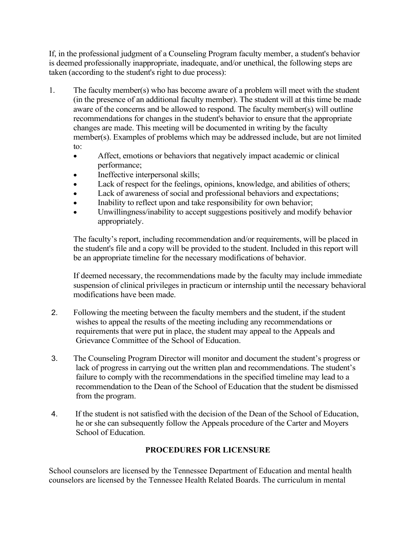If, in the professional judgment of a Counseling Program faculty member, a student's behavior is deemed professionally inappropriate, inadequate, and/or unethical, the following steps are taken (according to the student's right to due process):

- 1. The faculty member(s) who has become aware of a problem will meet with the student (in the presence of an additional faculty member). The student will at this time be made aware of the concerns and be allowed to respond. The faculty member(s) will outline recommendations for changes in the student's behavior to ensure that the appropriate changes are made. This meeting will be documented in writing by the faculty member(s). Examples of problems which may be addressed include, but are not limited to:
	- Affect, emotions or behaviors that negatively impact academic or clinical performance;
	- Ineffective interpersonal skills;
	- Lack of respect for the feelings, opinions, knowledge, and abilities of others;
	- Lack of awareness of social and professional behaviors and expectations;
	- Inability to reflect upon and take responsibility for own behavior;
	- Unwillingness/inability to accept suggestions positively and modify behavior appropriately.

The faculty's report, including recommendation and/or requirements, will be placed in the student's file and a copy will be provided to the student. Included in this report will be an appropriate timeline for the necessary modifications of behavior.

If deemed necessary, the recommendations made by the faculty may include immediate suspension of clinical privileges in practicum or internship until the necessary behavioral modifications have been made.

- 2. Following the meeting between the faculty members and the student, if the student wishes to appeal the results of the meeting including any recommendations or requirements that were put in place, the student may appeal to the Appeals and Grievance Committee of the School of Education.
- 3. The Counseling Program Director will monitor and document the student's progress or lack of progress in carrying out the written plan and recommendations. The student's failure to comply with the recommendations in the specified timeline may lead to a recommendation to the Dean of the School of Education that the student be dismissed from the program.
- <span id="page-29-0"></span>4. If the student is not satisfied with the decision of the Dean of the School of Education, he or she can subsequently follow the Appeals procedure of the Carter and Moyers School of Education.

## **PROCEDURES FOR LICENSURE**

School counselors are licensed by the Tennessee Department of Education and mental health counselors are licensed by the Tennessee Health Related Boards. The curriculum in mental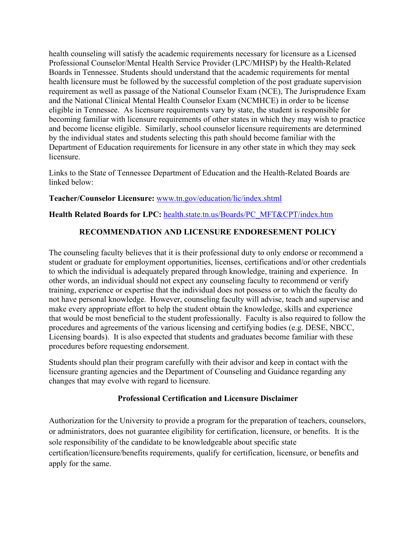health counseling will satisfy the academic requirements necessary for licensure as a Licensed Professional Counselor/Mental Health Service Provider (LPC/MHSP) by the Health-Related Boards in Tennessee. Students should understand that the academic requirements for mental health licensure must be followed by the successful completion of the post graduate supervision requirement as well as passage of the National Counselor Exam (NCE), The Jurisprudence Exam and the National Clinical Mental Health Counselor Exam (NCMHCE) in order to be license eligible in Tennessee. As licensure requirements vary by state, the student is responsible for becoming familiar with licensure requirements of other states in which they may wish to practice and become license eligible. Similarly, school counselor licensure requirements are determined by the individual states and students selecting this path should become familiar with the Department of Education requirements for licensure in any other state in which they may seek licensure.

Links to the State of Tennessee Department of Education and the Health-Related Boards are linked below:

#### **Teacher/Counselor Licensure:** [www.tn.gov/education/lic/index.shtml](http://www.tn.gov/education/lic/index.shtml)

## **Health Related Boards for LPC:** [health.state.tn.us/Boards/PC\\_MFT&CPT/index.htm](http://health.state.tn.us/Boards/PC_MFT&CPT/index.htm)

## **RECOMMENDATION AND LICENSURE ENDORESEMENT POLICY**

The counseling faculty believes that it is their professional duty to only endorse or recommend a student or graduate for employment opportunities, licenses, certifications and/or other credentials to which the individual is adequately prepared through knowledge, training and experience. In other words, an individual should not expect any counseling faculty to recommend or verify training, experience or expertise that the individual does not possess or to which the faculty do not have personal knowledge. However, counseling faculty will advise, teach and supervise and make every appropriate effort to help the student obtain the knowledge, skills and experience that would be most beneficial to the student professionally. Faculty is also required to follow the procedures and agreements of the various licensing and certifying bodies (e.g. DESE, NBCC, Licensing boards). It is also expected that students and graduates become familiar with these procedures before requesting endorsement.

Students should plan their program carefully with their advisor and keep in contact with the licensure granting agencies and the Department of Counseling and Guidance regarding any changes that may evolve with regard to licensure.

#### **Professional Certification and Licensure Disclaimer**

<span id="page-30-0"></span>Authorization for the University to provide a program for the preparation of teachers, counselors, or administrators, does not guarantee eligibility for certification, licensure, or benefits. It is the sole responsibility of the candidate to be knowledgeable about specific state certification/licensure/benefits requirements, qualify for certification, licensure, or benefits and apply for the same.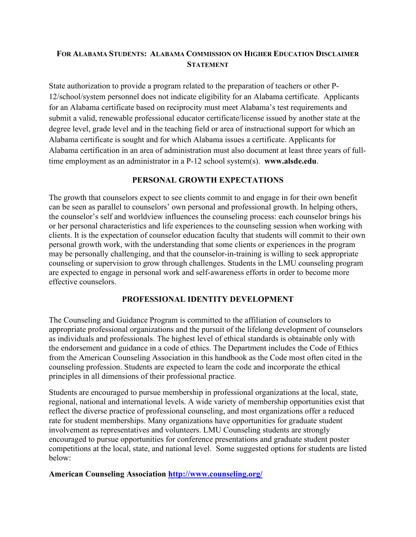## **FOR ALABAMA STUDENTS: ALABAMA COMMISSION ON HIGHER EDUCATION DISCLAIMER STATEMENT**

State authorization to provide a program related to the preparation of teachers or other P-12/school/system personnel does not indicate eligibility for an Alabama certificate. Applicants for an Alabama certificate based on reciprocity must meet Alabama's test requirements and submit a valid, renewable professional educator certificate/license issued by another state at the degree level, grade level and in the teaching field or area of instructional support for which an Alabama certificate is sought and for which Alabama issues a certificate. Applicants for Alabama certification in an area of administration must also document at least three years of fulltime employment as an administrator in a P-12 school system(s). **www.alsde.edu**.

#### **PERSONAL GROWTH EXPECTATIONS**

<span id="page-31-0"></span>The growth that counselors expect to see clients commit to and engage in for their own benefit can be seen as parallel to counselors' own personal and professional growth. In helping others, the counselor's self and worldview influences the counseling process: each counselor brings his or her personal characteristics and life experiences to the counseling session when working with clients. It is the expectation of counselor education faculty that students will commit to their own personal growth work, with the understanding that some clients or experiences in the program may be personally challenging, and that the counselor-in-training is willing to seek appropriate counseling or supervision to grow through challenges. Students in the LMU counseling program are expected to engage in personal work and self-awareness efforts in order to become more effective counselors.

#### **PROFESSIONAL IDENTITY DEVELOPMENT**

The Counseling and Guidance Program is committed to the affiliation of counselors to appropriate professional organizations and the pursuit of the lifelong development of counselors as individuals and professionals. The highest level of ethical standards is obtainable only with the endorsement and guidance in a code of ethics. The Department includes the Code of Ethics from the American Counseling Association in this handbook as the Code most often cited in the counseling profession. Students are expected to learn the code and incorporate the ethical principles in all dimensions of their professional practice.

Students are encouraged to pursue membership in professional organizations at the local, state, regional, national and international levels. A wide variety of membership opportunities exist that reflect the diverse practice of professional counseling, and most organizations offer a reduced rate for student memberships. Many organizations have opportunities for graduate student involvement as representatives and volunteers. LMU Counseling students are strongly encouraged to pursue opportunities for conference presentations and graduate student poster competitions at the local, state, and national level. Some suggested options for students are listed below:

**American Counseling Association<http://www.counseling.org/>**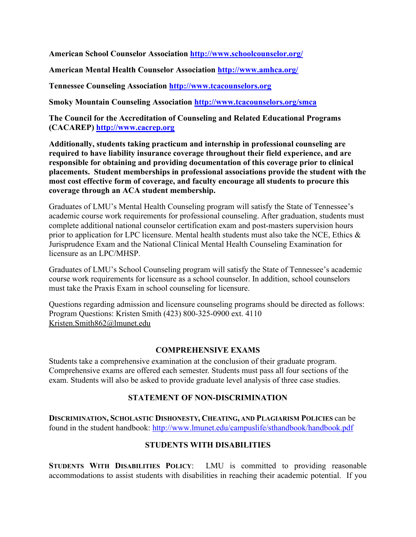**American School Counselor Association<http://www.schoolcounselor.org/>**

**American Mental Health Counselor Association<http://www.amhca.org/>**

**Tennessee Counseling Association [http://www.tcacounselors.org](http://www.tcacounselors.org/)**

**Smoky Mountain Counseling Association<http://www.tcacounselors.org/>smca**

**The Council for the Accreditation of Counseling and Related Educational Programs (CACAREP) [http://www.cacrep.org](http://www.cacrep.org/)**

**Additionally, students taking practicum and internship in professional counseling are required to have liability insurance coverage throughout their field experience, and are responsible for obtaining and providing documentation of this coverage prior to clinical placements. Student memberships in professional associations provide the student with the most cost effective form of coverage, and faculty encourage all students to procure this coverage through an ACA student membership.** 

Graduates of LMU's Mental Health Counseling program will satisfy the State of Tennessee's academic course work requirements for professional counseling. After graduation, students must complete additional national counselor certification exam and post-masters supervision hours prior to application for LPC licensure. Mental health students must also take the NCE, Ethics & Jurisprudence Exam and the National Clinical Mental Health Counseling Examination for licensure as an LPC/MHSP.

Graduates of LMU's School Counseling program will satisfy the State of Tennessee's academic course work requirements for licensure as a school counselor. In addition, school counselors must take the Praxis Exam in school counseling for licensure.

Questions regarding admission and licensure counseling programs should be directed as follows: Program Questions: Kristen Smith (423) 800-325-0900 ext. 4110 [Kristen.Smith862@lmunet.edu](mailto:Kristen.Smith862@lmunet.edu)

#### **COMPREHENSIVE EXAMS**

<span id="page-32-0"></span>Students take a comprehensive examination at the conclusion of their graduate program. Comprehensive exams are offered each semester. Students must pass all four sections of the exam. Students will also be asked to provide graduate level analysis of three case studies.

#### **STATEMENT OF NON-DISCRIMINATION**

<span id="page-32-2"></span><span id="page-32-1"></span>**DISCRIMINATION, SCHOLASTIC DISHONESTY, CHEATING, AND PLAGIARISM POLICIES** can be found in the student handbook:<http://www.lmunet.edu/campuslife/sthandbook/handbook.pdf>

#### **STUDENTS WITH DISABILITIES**

**STUDENTS WITH DISABILITIES POLICY**: LMU is committed to providing reasonable accommodations to assist students with disabilities in reaching their academic potential. If you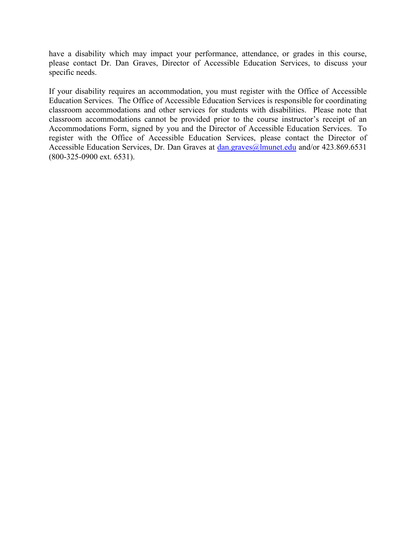have a disability which may impact your performance, attendance, or grades in this course, please contact Dr. Dan Graves, Director of Accessible Education Services, to discuss your specific needs.

If your disability requires an accommodation, you must register with the Office of Accessible Education Services. The Office of Accessible Education Services is responsible for coordinating classroom accommodations and other services for students with disabilities. Please note that classroom accommodations cannot be provided prior to the course instructor's receipt of an Accommodations Form, signed by you and the Director of Accessible Education Services. To register with the Office of Accessible Education Services, please contact the Director of Accessible Education Services, Dr. Dan Graves at [dan.graves@lmunet.edu](mailto:dan.graves@lmunet.edu) and/or 423.869.6531 (800-325-0900 ext. 6531).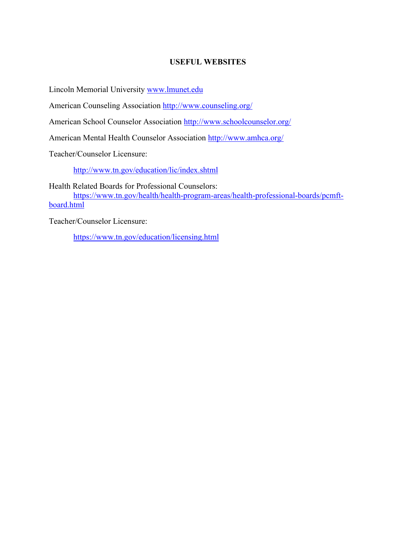### **USEFUL WEBSITES**

<span id="page-34-0"></span>Lincoln Memorial University [www.lmunet.edu](http://www.lmunet.edu/)

American Counseling Association<http://www.counseling.org/>

American School Counselor Association<http://www.schoolcounselor.org/>

American Mental Health Counselor Association<http://www.amhca.org/>

Teacher/Counselor Licensure:

<http://www.tn.gov/education/lic/index.shtml>

Health Related Boards for Professional Counselors:

[https://www.tn.gov/health/health-program-areas/health-professional-boards/pcmft](https://www.tn.gov/health/health-program-areas/health-professional-boards/pcmft-board.html)[board.html](https://www.tn.gov/health/health-program-areas/health-professional-boards/pcmft-board.html)

Teacher/Counselor Licensure:

<https://www.tn.gov/education/licensing.html>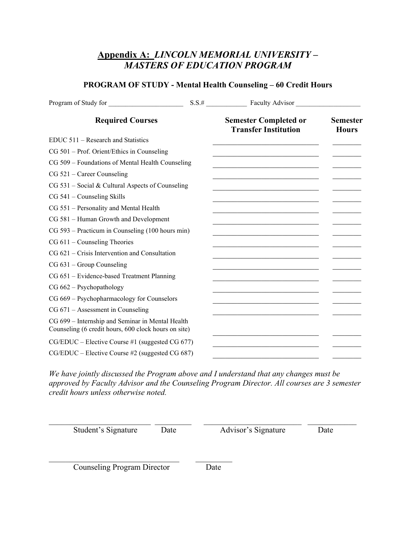# **Appendix A:** *LINCOLN MEMORIAL UNIVERSITY – MASTERS OF EDUCATION PROGRAM*

## **PROGRAM OF STUDY - Mental Health Counseling – 60 Credit Hours**

| Program of Study for                                                                                     |                                                                                                                      |                                 |
|----------------------------------------------------------------------------------------------------------|----------------------------------------------------------------------------------------------------------------------|---------------------------------|
| <b>Required Courses</b>                                                                                  | <b>Semester Completed or</b><br><b>Transfer Institution</b>                                                          | <b>Semester</b><br><b>Hours</b> |
| $EDUC 511 - Research$ and Statistics                                                                     | <u> 1989 - Johann John Stein, mars an deus Frankryk († 1958)</u>                                                     |                                 |
| CG 501 – Prof. Orient/Ethics in Counseling                                                               |                                                                                                                      |                                 |
| CG 509 - Foundations of Mental Health Counseling                                                         |                                                                                                                      |                                 |
| $CG 521 - Career Counseling$                                                                             |                                                                                                                      |                                 |
| $CG 531$ – Social & Cultural Aspects of Counseling                                                       |                                                                                                                      |                                 |
| $CG 541 - Counseling Skills$                                                                             |                                                                                                                      |                                 |
| CG 551 - Personality and Mental Health                                                                   |                                                                                                                      |                                 |
| CG 581 - Human Growth and Development                                                                    |                                                                                                                      |                                 |
| CG 593 – Practicum in Counseling (100 hours min)                                                         | <u> 1950 - Johann John Stein, mars an deus Amerikaansk ferske foar it ferske fan de Fryske ferske foar de Fryske</u> |                                 |
| $CG 611 - Countseling Theories$                                                                          |                                                                                                                      |                                 |
| CG 621 – Crisis Intervention and Consultation                                                            |                                                                                                                      |                                 |
| $CG 631 - Group Counseling$                                                                              |                                                                                                                      |                                 |
| CG 651 – Evidence-based Treatment Planning                                                               | the control of the control of the control of the                                                                     |                                 |
| $CG 662 - Psychology$                                                                                    |                                                                                                                      |                                 |
| CG 669 - Psychopharmacology for Counselors                                                               |                                                                                                                      |                                 |
| $CG 671 - Assessment in Counseling$                                                                      |                                                                                                                      |                                 |
| CG 699 - Internship and Seminar in Mental Health<br>Counseling (6 credit hours, 600 clock hours on site) |                                                                                                                      |                                 |
| $CG/EDUC$ – Elective Course #1 (suggested CG 677)                                                        |                                                                                                                      |                                 |
| CG/EDUC – Elective Course #2 (suggested CG 687)                                                          |                                                                                                                      |                                 |

*We have jointly discussed the Program above and I understand that any changes must be approved by Faculty Advisor and the Counseling Program Director. All courses are 3 semester credit hours unless otherwise noted.*

 $\_$  ,  $\_$  ,  $\_$  ,  $\_$  ,  $\_$  ,  $\_$  ,  $\_$  ,  $\_$  ,  $\_$  ,  $\_$  ,  $\_$  ,  $\_$  ,  $\_$  ,  $\_$  ,  $\_$  ,  $\_$  ,  $\_$  ,  $\_$  ,  $\_$  ,  $\_$  ,  $\_$  ,  $\_$  ,  $\_$  ,  $\_$  ,  $\_$  ,  $\_$  ,  $\_$  ,  $\_$  ,  $\_$  ,  $\_$  ,  $\_$  ,  $\_$  ,  $\_$  ,  $\_$  ,  $\_$  ,  $\_$  ,  $\_$  , Student's Signature Date Advisor's Signature Date

**Counseling Program Director** Date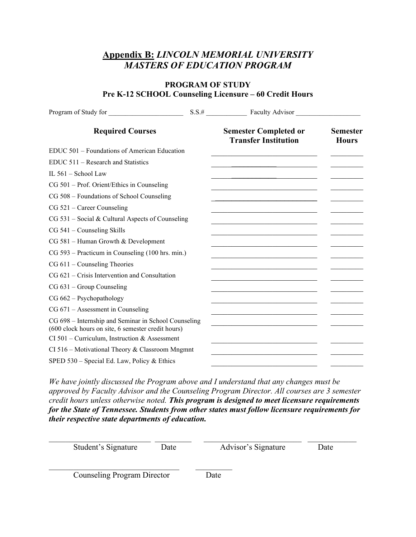# **Appendix B:** *LINCOLN MEMORIAL UNIVERSITY MASTERS OF EDUCATION PROGRAM*

#### **PROGRAM OF STUDY Pre K-12 SCHOOL Counseling Licensure – 60 Credit Hours**

| Program of Study for                                                                                       | S.S.# Faculty Advisor                                             |                                 |
|------------------------------------------------------------------------------------------------------------|-------------------------------------------------------------------|---------------------------------|
| <b>Required Courses</b>                                                                                    | <b>Semester Completed or</b><br><b>Transfer Institution</b>       | <b>Semester</b><br><b>Hours</b> |
| EDUC 501 - Foundations of American Education                                                               |                                                                   |                                 |
| $EDUC 511 - Research$ and Statistics                                                                       |                                                                   |                                 |
| IL 561 - School Law                                                                                        |                                                                   |                                 |
| CG 501 – Prof. Orient/Ethics in Counseling                                                                 |                                                                   |                                 |
| CG 508 – Foundations of School Counseling                                                                  |                                                                   |                                 |
| $CG 521 - Career Counseling$                                                                               |                                                                   |                                 |
| $CG 531$ – Social & Cultural Aspects of Counseling                                                         |                                                                   |                                 |
| $CG 541 - Counseling Skills$                                                                               |                                                                   |                                 |
| CG 581 - Human Growth & Development                                                                        |                                                                   |                                 |
| CG 593 – Practicum in Counseling (100 hrs. min.)                                                           | <u> 1990 - Johann John Stoff, mars and de Brasilian (b. 1980)</u> |                                 |
| $CG 611 - Counseling Theories$                                                                             |                                                                   |                                 |
| CG 621 – Crisis Intervention and Consultation                                                              |                                                                   |                                 |
| $CG 631 - Group Counseling$                                                                                |                                                                   |                                 |
| $CG 662 - Psychology$                                                                                      |                                                                   |                                 |
| $CG 671 - Assessment in Counseling$                                                                        |                                                                   |                                 |
| CG 698 - Internship and Seminar in School Counseling<br>(600 clock hours on site, 6 semester credit hours) |                                                                   |                                 |
| CI 501 – Curriculum, Instruction & Assessment                                                              |                                                                   |                                 |
| $CI 516 - Motivational Theory & Classroom Mngmnt$                                                          |                                                                   |                                 |
| SPED $530$ – Special Ed. Law, Policy & Ethics                                                              |                                                                   |                                 |

*We have jointly discussed the Program above and I understand that any changes must be approved by Faculty Advisor and the Counseling Program Director. All courses are 3 semester credit hours unless otherwise noted. This program is designed to meet licensure requirements for the State of Tennessee. Students from other states must follow licensure requirements for their respective state departments of education.*

| Student's Signature                | Date | Advisor's Signature | Date |
|------------------------------------|------|---------------------|------|
| <b>Counseling Program Director</b> |      | Date                |      |